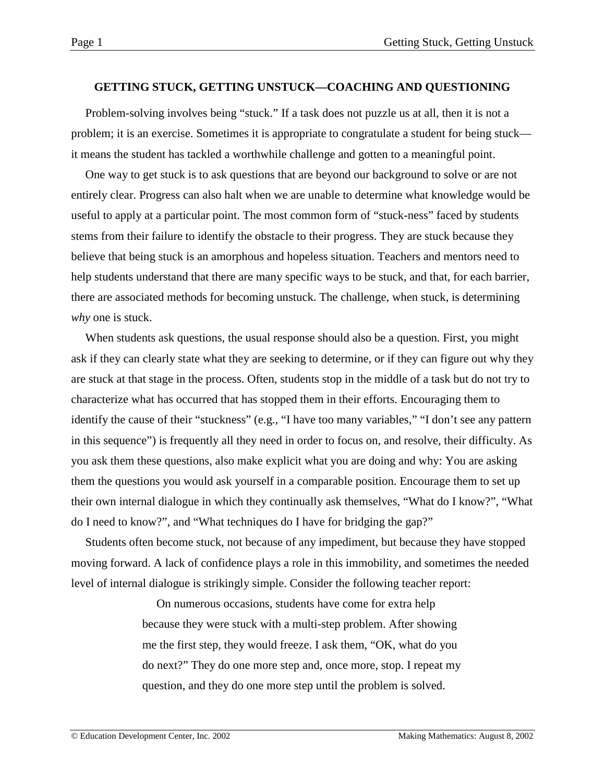#### **GETTING STUCK, GETTING UNSTUCK—COACHING AND QUESTIONING**

Problem-solving involves being "stuck." If a task does not puzzle us at all, then it is not a problem; it is an exercise. Sometimes it is appropriate to congratulate a student for being stuck it means the student has tackled a worthwhile challenge and gotten to a meaningful point.

One way to get stuck is to ask questions that are beyond our background to solve or are not entirely clear. Progress can also halt when we are unable to determine what knowledge would be useful to apply at a particular point. The most common form of "stuck-ness" faced by students stems from their failure to identify the obstacle to their progress. They are stuck because they believe that being stuck is an amorphous and hopeless situation. Teachers and mentors need to help students understand that there are many specific ways to be stuck, and that, for each barrier, there are associated methods for becoming unstuck. The challenge, when stuck, is determining *why* one is stuck.

When students ask questions, the usual response should also be a question. First, you might ask if they can clearly state what they are seeking to determine, or if they can figure out why they are stuck at that stage in the process. Often, students stop in the middle of a task but do not try to characterize what has occurred that has stopped them in their efforts. Encouraging them to identify the cause of their "stuckness" (e.g., "I have too many variables," "I don't see any pattern in this sequence") is frequently all they need in order to focus on, and resolve, their difficulty. As you ask them these questions, also make explicit what you are doing and why: You are asking them the questions you would ask yourself in a comparable position. Encourage them to set up their own internal dialogue in which they continually ask themselves, "What do I know?", "What do I need to know?", and "What techniques do I have for bridging the gap?"

Students often become stuck, not because of any impediment, but because they have stopped moving forward. A lack of confidence plays a role in this immobility, and sometimes the needed level of internal dialogue is strikingly simple. Consider the following teacher report:

> On numerous occasions, students have come for extra help because they were stuck with a multi-step problem. After showing me the first step, they would freeze. I ask them, "OK, what do you do next?" They do one more step and, once more, stop. I repeat my question, and they do one more step until the problem is solved.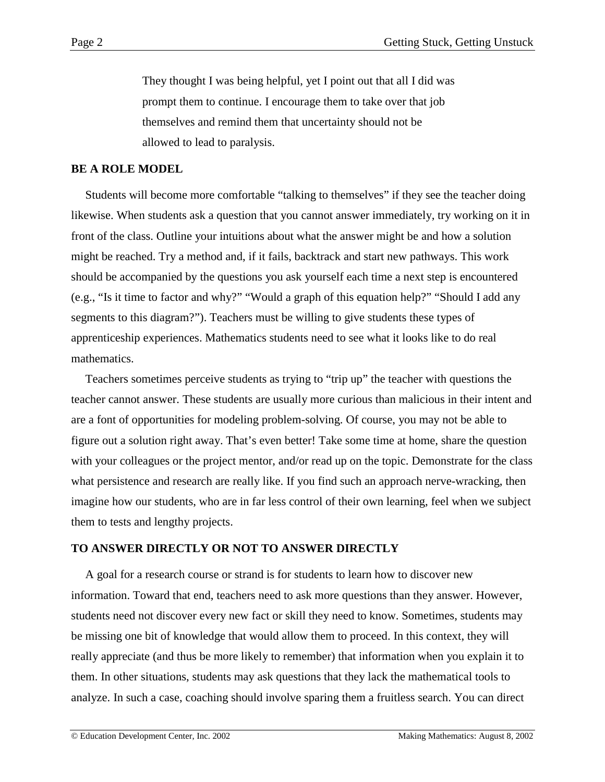They thought I was being helpful, yet I point out that all I did was prompt them to continue. I encourage them to take over that job themselves and remind them that uncertainty should not be allowed to lead to paralysis.

#### **BE A ROLE MODEL**

Students will become more comfortable "talking to themselves" if they see the teacher doing likewise. When students ask a question that you cannot answer immediately, try working on it in front of the class. Outline your intuitions about what the answer might be and how a solution might be reached. Try a method and, if it fails, backtrack and start new pathways. This work should be accompanied by the questions you ask yourself each time a next step is encountered (e.g., "Is it time to factor and why?" "Would a graph of this equation help?" "Should I add any segments to this diagram?"). Teachers must be willing to give students these types of apprenticeship experiences. Mathematics students need to see what it looks like to do real mathematics.

Teachers sometimes perceive students as trying to "trip up" the teacher with questions the teacher cannot answer. These students are usually more curious than malicious in their intent and are a font of opportunities for modeling problem-solving. Of course, you may not be able to figure out a solution right away. That's even better! Take some time at home, share the question with your colleagues or the project mentor, and/or read up on the topic. Demonstrate for the class what persistence and research are really like. If you find such an approach nerve-wracking, then imagine how our students, who are in far less control of their own learning, feel when we subject them to tests and lengthy projects.

#### **TO ANSWER DIRECTLY OR NOT TO ANSWER DIRECTLY**

A goal for a research course or strand is for students to learn how to discover new information. Toward that end, teachers need to ask more questions than they answer. However, students need not discover every new fact or skill they need to know. Sometimes, students may be missing one bit of knowledge that would allow them to proceed. In this context, they will really appreciate (and thus be more likely to remember) that information when you explain it to them. In other situations, students may ask questions that they lack the mathematical tools to analyze. In such a case, coaching should involve sparing them a fruitless search. You can direct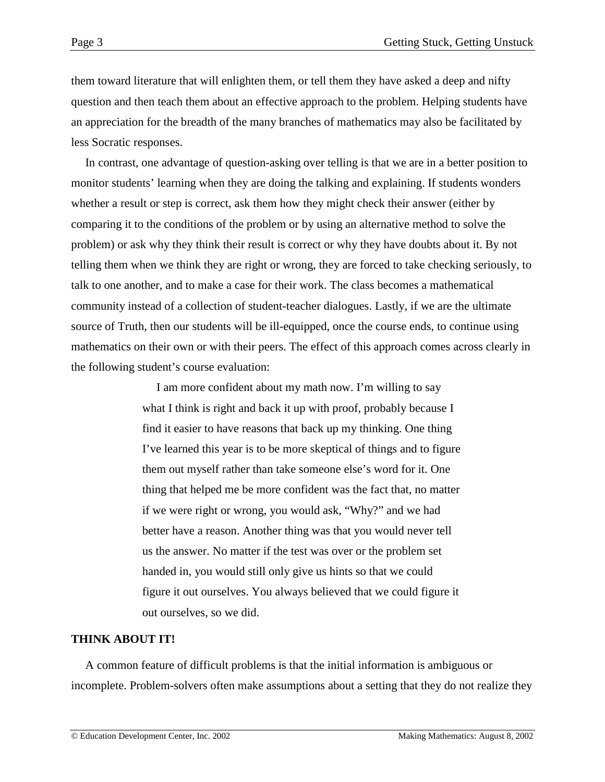them toward literature that will enlighten them, or tell them they have asked a deep and nifty question and then teach them about an effective approach to the problem. Helping students have an appreciation for the breadth of the many branches of mathematics may also be facilitated by less Socratic responses.

In contrast, one advantage of question-asking over telling is that we are in a better position to monitor students' learning when they are doing the talking and explaining. If students wonders whether a result or step is correct, ask them how they might check their answer (either by comparing it to the conditions of the problem or by using an alternative method to solve the problem) or ask why they think their result is correct or why they have doubts about it. By not telling them when we think they are right or wrong, they are forced to take checking seriously, to talk to one another, and to make a case for their work. The class becomes a mathematical community instead of a collection of student-teacher dialogues. Lastly, if we are the ultimate source of Truth, then our students will be ill-equipped, once the course ends, to continue using mathematics on their own or with their peers. The effect of this approach comes across clearly in the following student's course evaluation:

> I am more confident about my math now. I'm willing to say what I think is right and back it up with proof, probably because I find it easier to have reasons that back up my thinking. One thing I've learned this year is to be more skeptical of things and to figure them out myself rather than take someone else's word for it. One thing that helped me be more confident was the fact that, no matter if we were right or wrong, you would ask, "Why?" and we had better have a reason. Another thing was that you would never tell us the answer. No matter if the test was over or the problem set handed in, you would still only give us hints so that we could figure it out ourselves. You always believed that we could figure it out ourselves, so we did.

## **THINK ABOUT IT!**

A common feature of difficult problems is that the initial information is ambiguous or incomplete. Problem-solvers often make assumptions about a setting that they do not realize they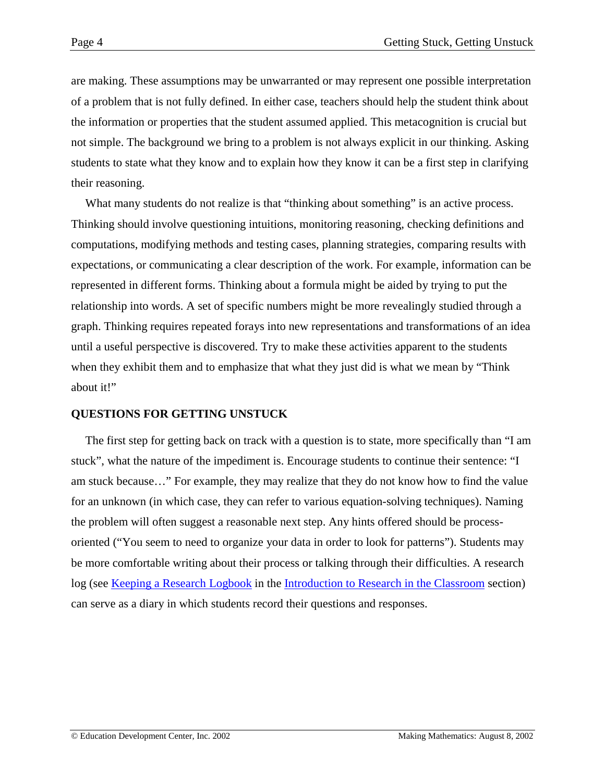are making. These assumptions may be unwarranted or may represent one possible interpretation of a problem that is not fully defined. In either case, teachers should help the student think about the information or properties that the student assumed applied. This metacognition is crucial but not simple. The background we bring to a problem is not always explicit in our thinking. Asking students to state what they know and to explain how they know it can be a first step in clarifying their reasoning.

What many students do not realize is that "thinking about something" is an active process. Thinking should involve questioning intuitions, monitoring reasoning, checking definitions and computations, modifying methods and testing cases, planning strategies, comparing results with expectations, or communicating a clear description of the work. For example, information can be represented in different forms. Thinking about a formula might be aided by trying to put the relationship into words. A set of specific numbers might be more revealingly studied through a graph. Thinking requires repeated forays into new representations and transformations of an idea until a useful perspective is discovered. Try to make these activities apparent to the students when they exhibit them and to emphasize that what they just did is what we mean by "Think" about it!"

## **QUESTIONS FOR GETTING UNSTUCK**

The first step for getting back on track with a question is to state, more specifically than "I am stuck", what the nature of the impediment is. Encourage students to continue their sentence: "I am stuck because…" For example, they may realize that they do not know how to find the value for an unknown (in which case, they can refer to various equation-solving techniques). Naming the problem will often suggest a reasonable next step. Any hints offered should be processoriented ("You seem to need to organize your data in order to look for patterns"). Students may be more comfortable writing about their process or talking through their difficulties. A research log (see [Keeping a Research Logbook](http://www2.edc.org/makingmath/handbook/teacher/Introduction/Introduction.asp#KeepingAResearchLogbook) in the [Introduction to Research in the Classroom](http://www2.edc.org/makingmath/handbook/teacher/Introduction/Introduction.asp) section) can serve as a diary in which students record their questions and responses.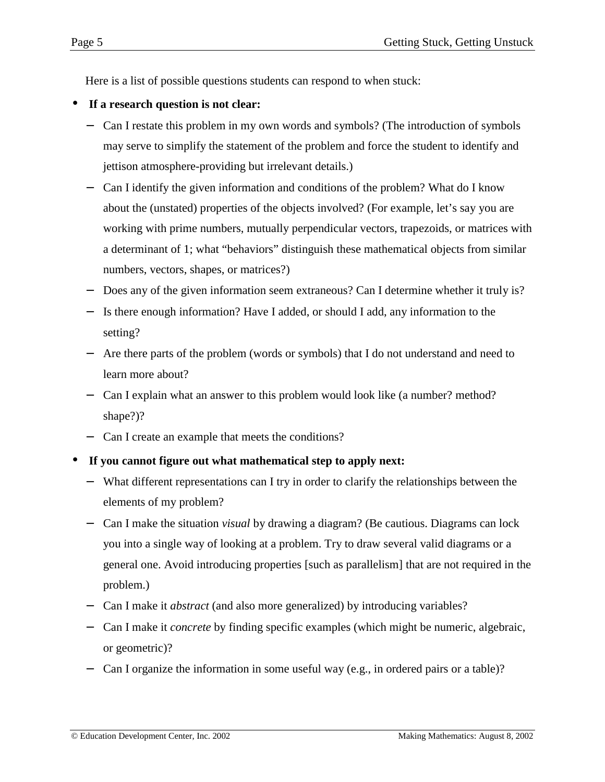Here is a list of possible questions students can respond to when stuck:

- **If a research question is not clear:**
	- − Can I restate this problem in my own words and symbols? (The introduction of symbols may serve to simplify the statement of the problem and force the student to identify and jettison atmosphere-providing but irrelevant details.)
	- − Can I identify the given information and conditions of the problem? What do I know about the (unstated) properties of the objects involved? (For example, let's say you are working with prime numbers, mutually perpendicular vectors, trapezoids, or matrices with a determinant of 1; what "behaviors" distinguish these mathematical objects from similar numbers, vectors, shapes, or matrices?)
	- Does any of the given information seem extraneous? Can I determine whether it truly is?
	- − Is there enough information? Have I added, or should I add, any information to the setting?
	- − Are there parts of the problem (words or symbols) that I do not understand and need to learn more about?
	- − Can I explain what an answer to this problem would look like (a number? method? shape?)?
	- − Can I create an example that meets the conditions?
- **If you cannot figure out what mathematical step to apply next:**
	- − What different representations can I try in order to clarify the relationships between the elements of my problem?
	- − Can I make the situation *visual* by drawing a diagram? (Be cautious. Diagrams can lock you into a single way of looking at a problem. Try to draw several valid diagrams or a general one. Avoid introducing properties [such as parallelism] that are not required in the problem.)
	- − Can I make it *abstract* (and also more generalized) by introducing variables?
	- − Can I make it *concrete* by finding specific examples (which might be numeric, algebraic, or geometric)?
	- Can I organize the information in some useful way (e.g., in ordered pairs or a table)?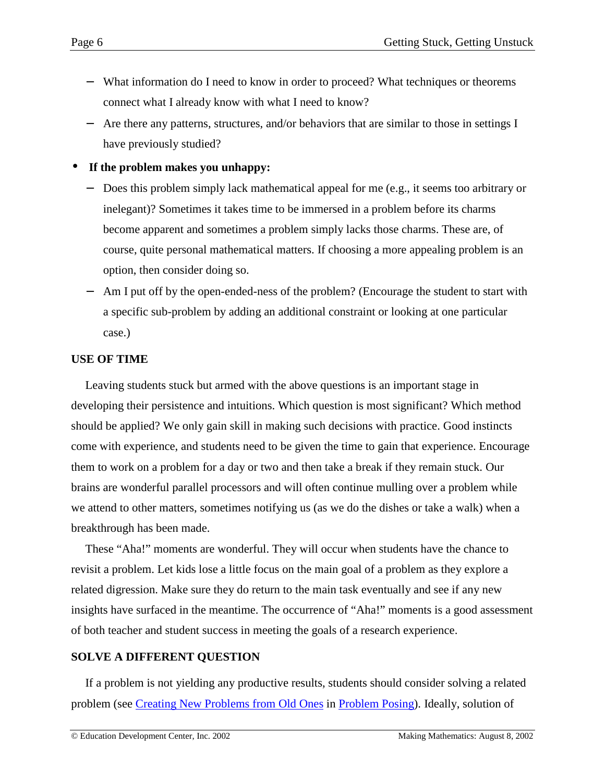- − What information do I need to know in order to proceed? What techniques or theorems connect what I already know with what I need to know?
- Are there any patterns, structures, and/or behaviors that are similar to those in settings I have previously studied?

• **If the problem makes you unhappy:**

- Does this problem simply lack mathematical appeal for me (e.g., it seems too arbitrary or inelegant)? Sometimes it takes time to be immersed in a problem before its charms become apparent and sometimes a problem simply lacks those charms. These are, of course, quite personal mathematical matters. If choosing a more appealing problem is an option, then consider doing so.
- Am I put off by the open-ended-ness of the problem? (Encourage the student to start with a specific sub-problem by adding an additional constraint or looking at one particular case.)

### **USE OF TIME**

Leaving students stuck but armed with the above questions is an important stage in developing their persistence and intuitions. Which question is most significant? Which method should be applied? We only gain skill in making such decisions with practice. Good instincts come with experience, and students need to be given the time to gain that experience. Encourage them to work on a problem for a day or two and then take a break if they remain stuck. Our brains are wonderful parallel processors and will often continue mulling over a problem while we attend to other matters, sometimes notifying us (as we do the dishes or take a walk) when a breakthrough has been made.

These "Aha!" moments are wonderful. They will occur when students have the chance to revisit a problem. Let kids lose a little focus on the main goal of a problem as they explore a related digression. Make sure they do return to the main task eventually and see if any new insights have surfaced in the meantime. The occurrence of "Aha!" moments is a good assessment of both teacher and student success in meeting the goals of a research experience.

## **SOLVE A DIFFERENT QUESTION**

If a problem is not yielding any productive results, students should consider solving a related problem (see [Creating New Problems from Old Ones](http://www2.edc.org/makingmath/handbook/teacher/ProblemPosing/ProblemPosing.asp#CreatingNewProblemsFromOldOnes) in [Problem Posing\)](http://www2.edc.org/makingmath/handbook/teacher/ProblemPosing/ProblemPosing.asp). Ideally, solution of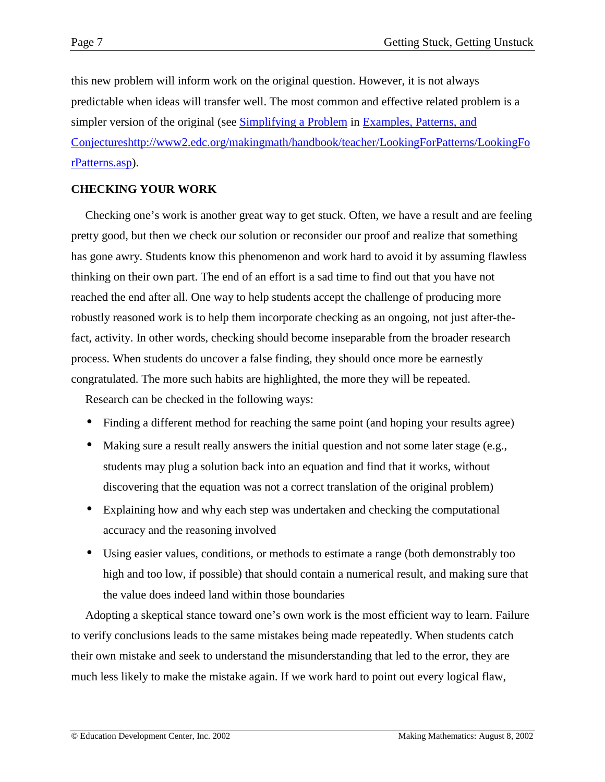this new problem will inform work on the original question. However, it is not always predictable when ideas will transfer well. The most common and effective related problem is a simpler version of the original (see [Simplifying a Problem](http://www2.edc.org/makingmath/handbook/teacher/Conjectures/Conjectures.asp#SimplifyingAProblem) in [Examples, Patterns, and](http://www2.edc.org/makingmath/handbook/teacher/Conjectures/Conjectures.asp) [Conjectures](http://www2.edc.org/makingmath/handbook/teacher/Conjectures/Conjectures.asp)[http://www2.edc.org/makingmath/handbook/teacher/LookingForPatterns/LookingFo](http://www2.edc.org/makingmath/handbook/teacher/LookingForPatterns/LookingForPatterns.asp) [rPatterns.asp\)](http://www2.edc.org/makingmath/handbook/teacher/LookingForPatterns/LookingForPatterns.asp).

# **CHECKING YOUR WORK**

Checking one's work is another great way to get stuck. Often, we have a result and are feeling pretty good, but then we check our solution or reconsider our proof and realize that something has gone awry. Students know this phenomenon and work hard to avoid it by assuming flawless thinking on their own part. The end of an effort is a sad time to find out that you have not reached the end after all. One way to help students accept the challenge of producing more robustly reasoned work is to help them incorporate checking as an ongoing, not just after-thefact, activity. In other words, checking should become inseparable from the broader research process. When students do uncover a false finding, they should once more be earnestly congratulated. The more such habits are highlighted, the more they will be repeated.

Research can be checked in the following ways:

- Finding a different method for reaching the same point (and hoping your results agree)
- Making sure a result really answers the initial question and not some later stage (e.g., students may plug a solution back into an equation and find that it works, without discovering that the equation was not a correct translation of the original problem)
- Explaining how and why each step was undertaken and checking the computational accuracy and the reasoning involved
- Using easier values, conditions, or methods to estimate a range (both demonstrably too high and too low, if possible) that should contain a numerical result, and making sure that the value does indeed land within those boundaries

Adopting a skeptical stance toward one's own work is the most efficient way to learn. Failure to verify conclusions leads to the same mistakes being made repeatedly. When students catch their own mistake and seek to understand the misunderstanding that led to the error, they are much less likely to make the mistake again. If we work hard to point out every logical flaw,